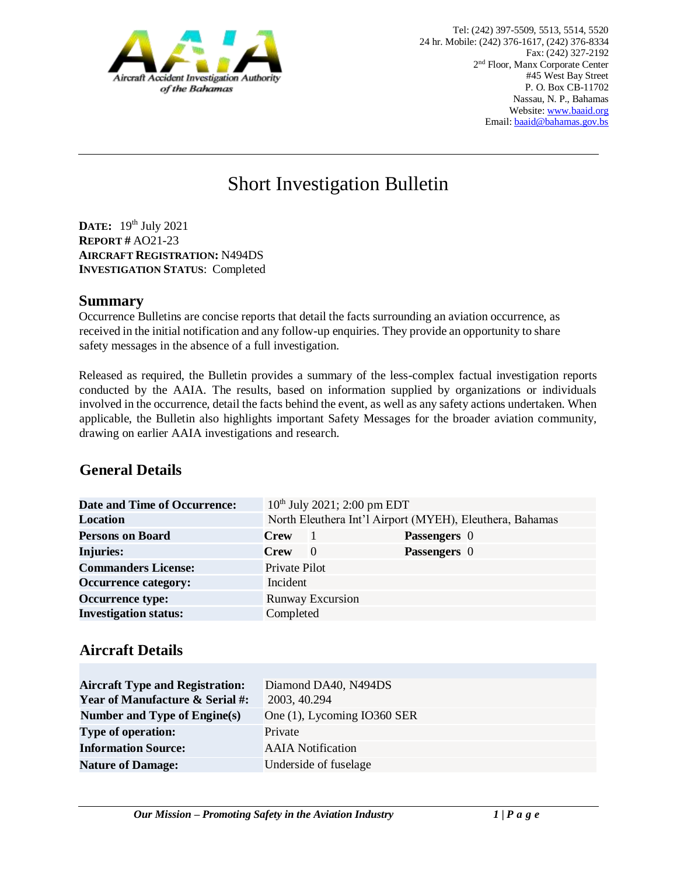

# Short Investigation Bulletin

**DATE:** 19 th July 2021 **REPORT #** AO21-23 **AIRCRAFT REGISTRATION:** N494DS **INVESTIGATION STATUS**: Completed

#### **Summary**

Occurrence Bulletins are concise reports that detail the facts surrounding an aviation occurrence, as received in the initial notification and any follow-up enquiries. They provide an opportunity to share safety messages in the absence of a full investigation*.* 

Released as required, the Bulletin provides a summary of the less-complex factual investigation reports conducted by the AAIA. The results, based on information supplied by organizations or individuals involved in the occurrence, detail the facts behind the event, as well as any safety actions undertaken. When applicable, the Bulletin also highlights important Safety Messages for the broader aviation community, drawing on earlier AAIA investigations and research.

## **General Details**

| <b>Date and Time of Occurrence:</b> | $10^{th}$ July 2021; 2:00 pm EDT                         |                         |              |  |
|-------------------------------------|----------------------------------------------------------|-------------------------|--------------|--|
| <b>Location</b>                     | North Eleuthera Int'l Airport (MYEH), Eleuthera, Bahamas |                         |              |  |
| <b>Persons on Board</b>             | <b>Crew</b>                                              |                         | Passengers 0 |  |
| <b>Injuries:</b>                    | <b>Crew</b>                                              | $\left($                | Passengers 0 |  |
| <b>Commanders License:</b>          | Private Pilot                                            |                         |              |  |
| <b>Occurrence category:</b>         | Incident                                                 |                         |              |  |
| <b>Occurrence type:</b>             |                                                          | <b>Runway Excursion</b> |              |  |
| <b>Investigation status:</b>        | Completed                                                |                         |              |  |

## **Aircraft Details**

| <b>Aircraft Type and Registration:</b><br><b>Year of Manufacture &amp; Serial #:</b> | Diamond DA40, N494DS<br>2003, 40.294 |
|--------------------------------------------------------------------------------------|--------------------------------------|
| Number and Type of Engine(s)                                                         | One (1), Lycoming IO360 SER          |
| <b>Type of operation:</b>                                                            | Private                              |
| <b>Information Source:</b>                                                           | <b>AAIA</b> Notification             |
| <b>Nature of Damage:</b>                                                             | Underside of fuselage                |